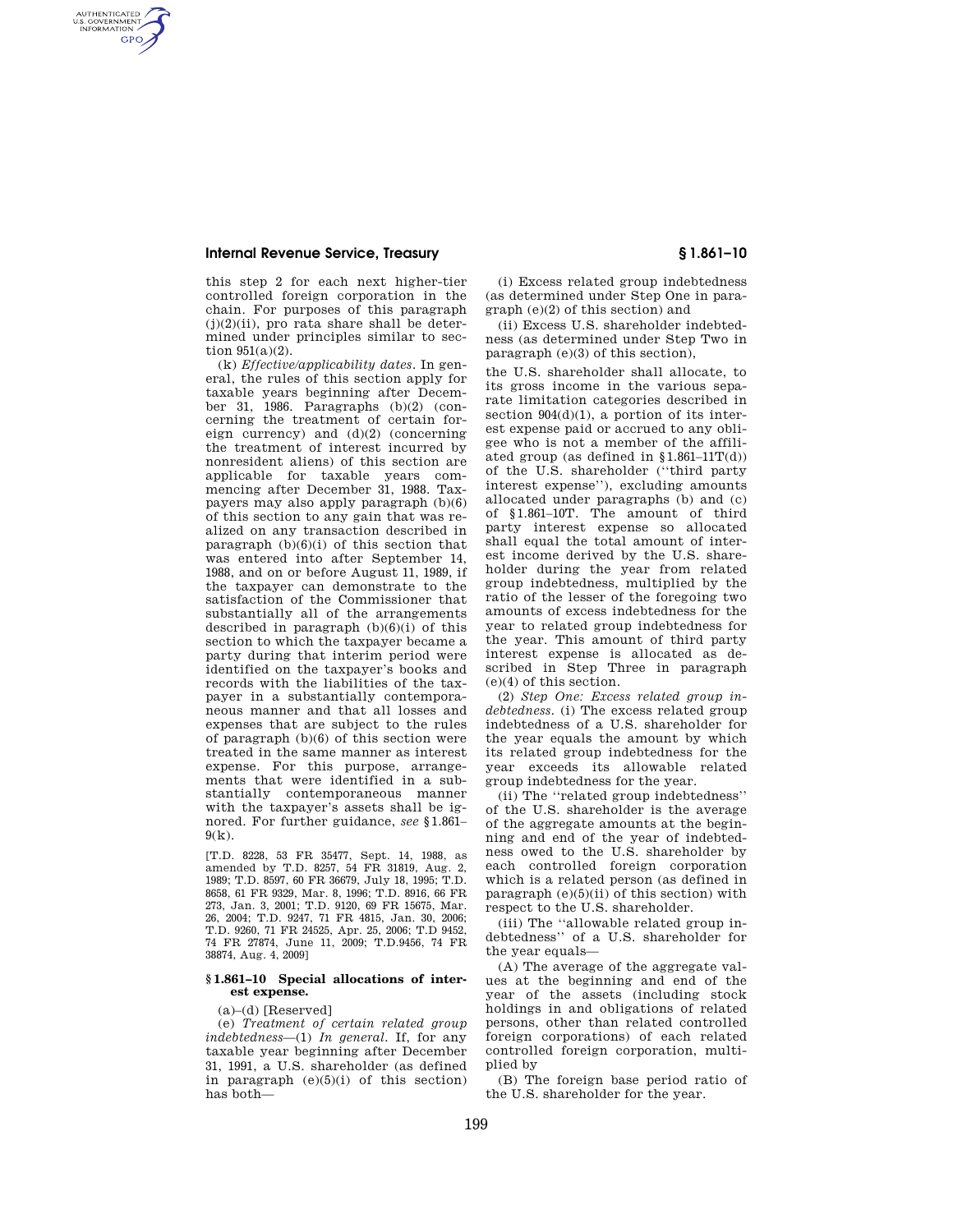AUTHENTICATED<br>U.S. GOVERNMENT<br>INFORMATION **GPO** 

> this step 2 for each next higher-tier controlled foreign corporation in the chain. For purposes of this paragraph  $(j)(2)(ii)$ , pro rata share shall be determined under principles similar to section 951(a)(2).

(k) *Effective/applicability dates.* In general, the rules of this section apply for taxable years beginning after December 31, 1986. Paragraphs (b)(2) (concerning the treatment of certain foreign currency) and (d)(2) (concerning the treatment of interest incurred by nonresident aliens) of this section are applicable for taxable years commencing after December 31, 1988. Taxpayers may also apply paragraph (b)(6) of this section to any gain that was realized on any transaction described in paragraph  $(b)(6)(i)$  of this section that was entered into after September 14, 1988, and on or before August 11, 1989, if the taxpayer can demonstrate to the satisfaction of the Commissioner that substantially all of the arrangements described in paragraph  $(b)(6)(i)$  of this section to which the taxpayer became a party during that interim period were identified on the taxpayer's books and records with the liabilities of the taxpayer in a substantially contemporaneous manner and that all losses and expenses that are subject to the rules of paragraph (b)(6) of this section were treated in the same manner as interest expense. For this purpose, arrangements that were identified in a substantially contemporaneous manner with the taxpayer's assets shall be ignored. For further guidance, *see* §1.861–  $9(k)$ .

[T.D. 8228, 53 FR 35477, Sept. 14, 1988, as amended by T.D. 8257, 54 FR 31819, Aug. 2, 1989; T.D. 8597, 60 FR 36679, July 18, 1995; T.D. 8658, 61 FR 9329, Mar. 8, 1996; T.D. 8916, 66 FR 273, Jan. 3, 2001; T.D. 9120, 69 FR 15675, Mar. 26, 2004; T.D. 9247, 71 FR 4815, Jan. 30, 2006; T.D. 9260, 71 FR 24525, Apr. 25, 2006; T.D 9452, 74 FR 27874, June 11, 2009; T.D.9456, 74 FR 38874, Aug. 4, 2009]

### **§ 1.861–10 Special allocations of interest expense.**

(a)–(d) [Reserved]

(e) *Treatment of certain related group indebtedness*—(1) *In general.* If, for any taxable year beginning after December 31, 1991, a U.S. shareholder (as defined in paragraph  $(e)(5)(i)$  of this section) has both—

(i) Excess related group indebtedness (as determined under Step One in paragraph (e)(2) of this section) and

(ii) Excess U.S. shareholder indebtedness (as determined under Step Two in paragraph (e)(3) of this section),

the U.S. shareholder shall allocate, to its gross income in the various separate limitation categories described in section  $904(d)(1)$ , a portion of its interest expense paid or accrued to any obligee who is not a member of the affiliated group (as defined in  $$1.861-11T(d)$ ) of the U.S. shareholder (''third party interest expense''), excluding amounts allocated under paragraphs (b) and (c) of §1.861–10T. The amount of third party interest expense so allocated shall equal the total amount of interest income derived by the U.S. shareholder during the year from related group indebtedness, multiplied by the ratio of the lesser of the foregoing two amounts of excess indebtedness for the year to related group indebtedness for the year. This amount of third party interest expense is allocated as described in Step Three in paragraph (e)(4) of this section.

(2) *Step One: Excess related group indebtedness.* (i) The excess related group indebtedness of a U.S. shareholder for the year equals the amount by which its related group indebtedness for the year exceeds its allowable related group indebtedness for the year.

(ii) The ''related group indebtedness'' of the U.S. shareholder is the average of the aggregate amounts at the beginning and end of the year of indebtedness owed to the U.S. shareholder by each controlled foreign corporation which is a related person (as defined in paragraph  $(e)(5)(ii)$  of this section) with respect to the U.S. shareholder.

(iii) The ''allowable related group indebtedness'' of a U.S. shareholder for the year equals—

(A) The average of the aggregate values at the beginning and end of the year of the assets (including stock holdings in and obligations of related persons, other than related controlled foreign corporations) of each related controlled foreign corporation, multiplied by

(B) The foreign base period ratio of the U.S. shareholder for the year.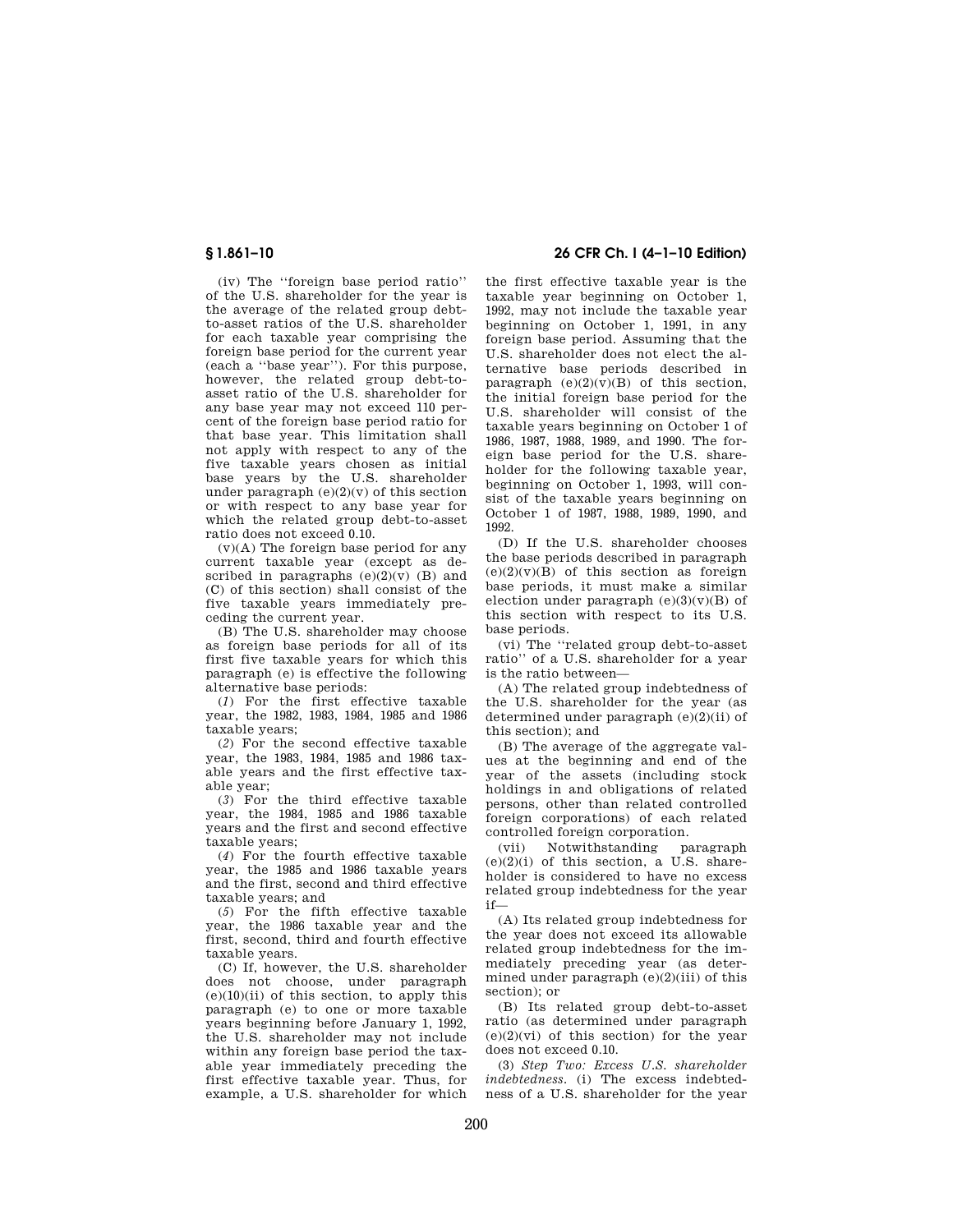(iv) The ''foreign base period ratio'' of the U.S. shareholder for the year is the average of the related group debtto-asset ratios of the U.S. shareholder for each taxable year comprising the foreign base period for the current year (each a ''base year''). For this purpose, however, the related group debt-toasset ratio of the U.S. shareholder for any base year may not exceed 110 percent of the foreign base period ratio for that base year. This limitation shall not apply with respect to any of the five taxable years chosen as initial base years by the U.S. shareholder under paragraph  $(e)(2)(v)$  of this section or with respect to any base year for which the related group debt-to-asset ratio does not exceed 0.10.

 $(v)(A)$  The foreign base period for any current taxable year (except as described in paragraphs  $(e)(2)(\overline{v})$  (B) and (C) of this section) shall consist of the five taxable years immediately preceding the current year.

(B) The U.S. shareholder may choose as foreign base periods for all of its first five taxable years for which this paragraph (e) is effective the following alternative base periods:

(*1*) For the first effective taxable year, the 1982, 1983, 1984, 1985 and 1986 taxable years;

(*2*) For the second effective taxable year, the 1983, 1984, 1985 and 1986 taxable years and the first effective taxable year;

(*3*) For the third effective taxable year, the 1984, 1985 and 1986 taxable years and the first and second effective taxable years;

(*4*) For the fourth effective taxable year, the 1985 and 1986 taxable years and the first, second and third effective taxable years; and

(*5*) For the fifth effective taxable year, the 1986 taxable year and the first, second, third and fourth effective taxable years.

(C) If, however, the U.S. shareholder does not choose, under paragraph  $(e)(10)(ii)$  of this section, to apply this paragraph (e) to one or more taxable years beginning before January 1, 1992, the U.S. shareholder may not include within any foreign base period the taxable year immediately preceding the first effective taxable year. Thus, for example, a U.S. shareholder for which

# **§ 1.861–10 26 CFR Ch. I (4–1–10 Edition)**

the first effective taxable year is the taxable year beginning on October 1, 1992, may not include the taxable year beginning on October 1, 1991, in any foreign base period. Assuming that the U.S. shareholder does not elect the alternative base periods described in paragraph  $(e)(2)(\overline{v})(B)$  of this section. the initial foreign base period for the U.S. shareholder will consist of the taxable years beginning on October 1 of 1986, 1987, 1988, 1989, and 1990. The foreign base period for the U.S. shareholder for the following taxable year, beginning on October 1, 1993, will consist of the taxable years beginning on October 1 of 1987, 1988, 1989, 1990, and 1992.

(D) If the U.S. shareholder chooses the base periods described in paragraph  $(e)(2)(y)(\overline{B})$  of this section as foreign base periods, it must make a similar election under paragraph  $(e)(3)(v)(B)$  of this section with respect to its U.S. base periods.

(vi) The ''related group debt-to-asset ratio'' of a U.S. shareholder for a year is the ratio between—

(A) The related group indebtedness of the U.S. shareholder for the year (as determined under paragraph (e)(2)(ii) of this section); and

(B) The average of the aggregate values at the beginning and end of the year of the assets (including stock holdings in and obligations of related persons, other than related controlled foreign corporations) of each related controlled foreign corporation.

(vii) Notwithstanding paragraph  $(e)(2)(i)$  of this section, a U.S. shareholder is considered to have no excess related group indebtedness for the year if—

(A) Its related group indebtedness for the year does not exceed its allowable related group indebtedness for the immediately preceding year (as determined under paragraph (e)(2)(iii) of this section); or

(B) Its related group debt-to-asset ratio (as determined under paragraph  $(e)(2)(vi)$  of this section) for the year does not exceed 0.10.

(3) *Step Two: Excess U.S. shareholder indebtedness.* (i) The excess indebtedness of a U.S. shareholder for the year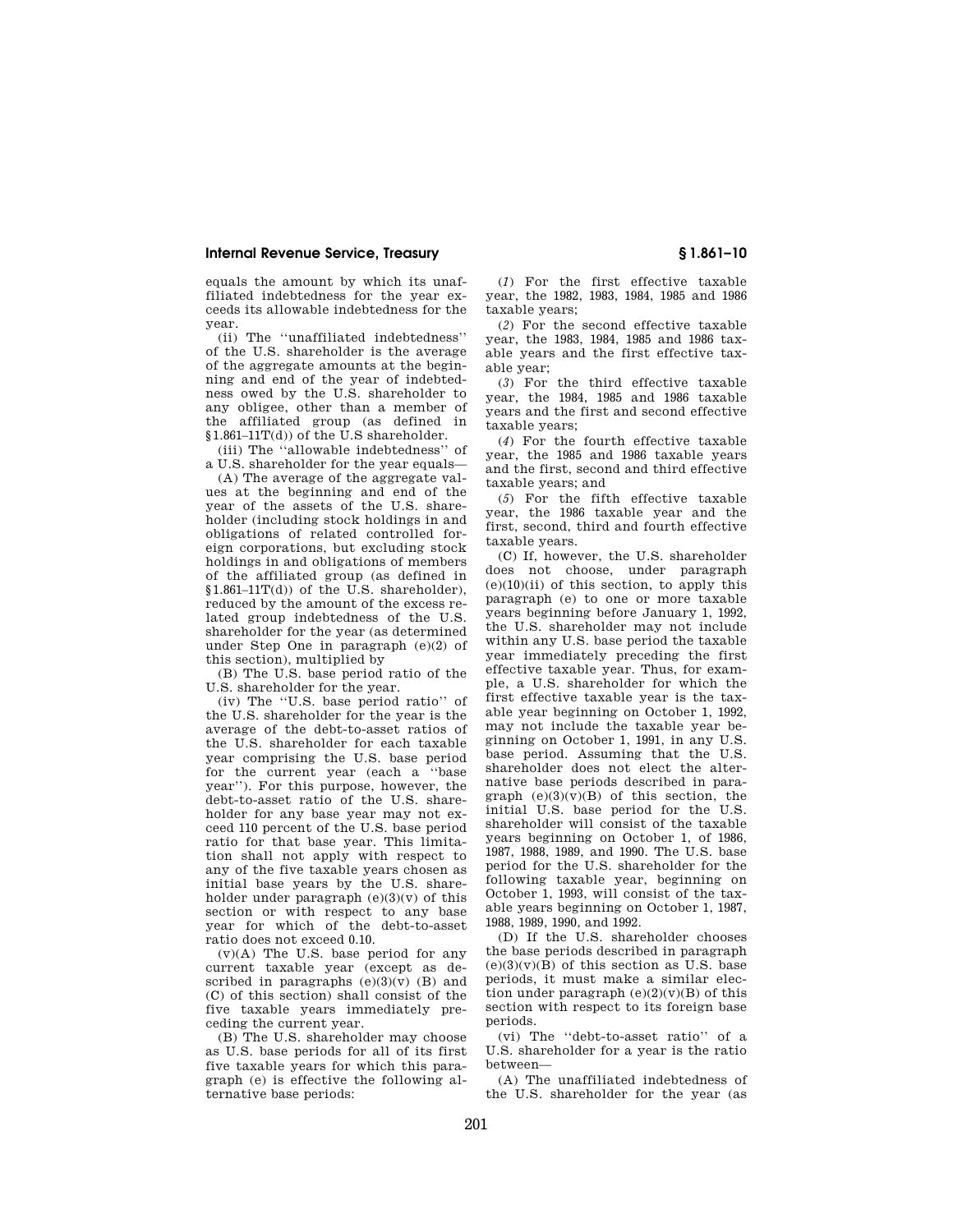equals the amount by which its unaffiliated indebtedness for the year exceeds its allowable indebtedness for the year.

(ii) The ''unaffiliated indebtedness'' of the U.S. shareholder is the average of the aggregate amounts at the beginning and end of the year of indebtedness owed by the U.S. shareholder to any obligee, other than a member of the affiliated group (as defined in  $§1.861-11T(d))$  of the U.S shareholder.

(iii) The ''allowable indebtedness'' of a U.S. shareholder for the year equals—

(A) The average of the aggregate values at the beginning and end of the year of the assets of the U.S. shareholder (including stock holdings in and obligations of related controlled foreign corporations, but excluding stock holdings in and obligations of members of the affiliated group (as defined in  $$1.861-11T(d)$  of the U.S. shareholder), reduced by the amount of the excess related group indebtedness of the U.S. shareholder for the year (as determined under Step One in paragraph (e)(2) of this section), multiplied by

(B) The U.S. base period ratio of the U.S. shareholder for the year.

(iv) The ''U.S. base period ratio'' of the U.S. shareholder for the year is the average of the debt-to-asset ratios of the U.S. shareholder for each taxable year comprising the U.S. base period for the current year (each a ''base year''). For this purpose, however, the debt-to-asset ratio of the U.S. shareholder for any base year may not exceed 110 percent of the U.S. base period ratio for that base year. This limitation shall not apply with respect to any of the five taxable years chosen as initial base years by the U.S. shareholder under paragraph  $(e)(3)(v)$  of this section or with respect to any base year for which of the debt-to-asset ratio does not exceed 0.10.

 $(v)(A)$  The U.S. base period for any current taxable year (except as described in paragraphs  $(e)(3)(\overline{v})$  (B) and (C) of this section) shall consist of the five taxable years immediately preceding the current year.

(B) The U.S. shareholder may choose as U.S. base periods for all of its first five taxable years for which this paragraph (e) is effective the following alternative base periods:

(*1*) For the first effective taxable year, the 1982, 1983, 1984, 1985 and 1986 taxable years;

(*2*) For the second effective taxable year, the 1983, 1984, 1985 and 1986 taxable years and the first effective taxable year;

(*3*) For the third effective taxable year, the 1984, 1985 and 1986 taxable years and the first and second effective taxable years;

(*4*) For the fourth effective taxable year, the 1985 and 1986 taxable years and the first, second and third effective taxable years; and

(*5*) For the fifth effective taxable year, the 1986 taxable year and the first, second, third and fourth effective taxable years.

(C) If, however, the U.S. shareholder does not choose, under paragraph  $(e)(10)(ii)$  of this section, to apply this paragraph (e) to one or more taxable years beginning before January 1, 1992, the U.S. shareholder may not include within any U.S. base period the taxable year immediately preceding the first effective taxable year. Thus, for example, a U.S. shareholder for which the first effective taxable year is the taxable year beginning on October 1, 1992, may not include the taxable year beginning on October 1, 1991, in any U.S. base period. Assuming that the U.S. shareholder does not elect the alternative base periods described in paragraph  $(e)(3)(v)(B)$  of this section, the initial U.S. base period for the U.S. shareholder will consist of the taxable years beginning on October 1, of 1986, 1987, 1988, 1989, and 1990. The U.S. base period for the U.S. shareholder for the following taxable year, beginning on October 1, 1993, will consist of the taxable years beginning on October 1, 1987, 1988, 1989, 1990, and 1992.

(D) If the U.S. shareholder chooses the base periods described in paragraph  $(e)(3)(v)(B)$  of this section as U.S. base periods, it must make a similar election under paragraph  $(e)(2)(v)(B)$  of this section with respect to its foreign base periods.

(vi) The ''debt-to-asset ratio'' of a U.S. shareholder for a year is the ratio between—

(A) The unaffiliated indebtedness of the U.S. shareholder for the year (as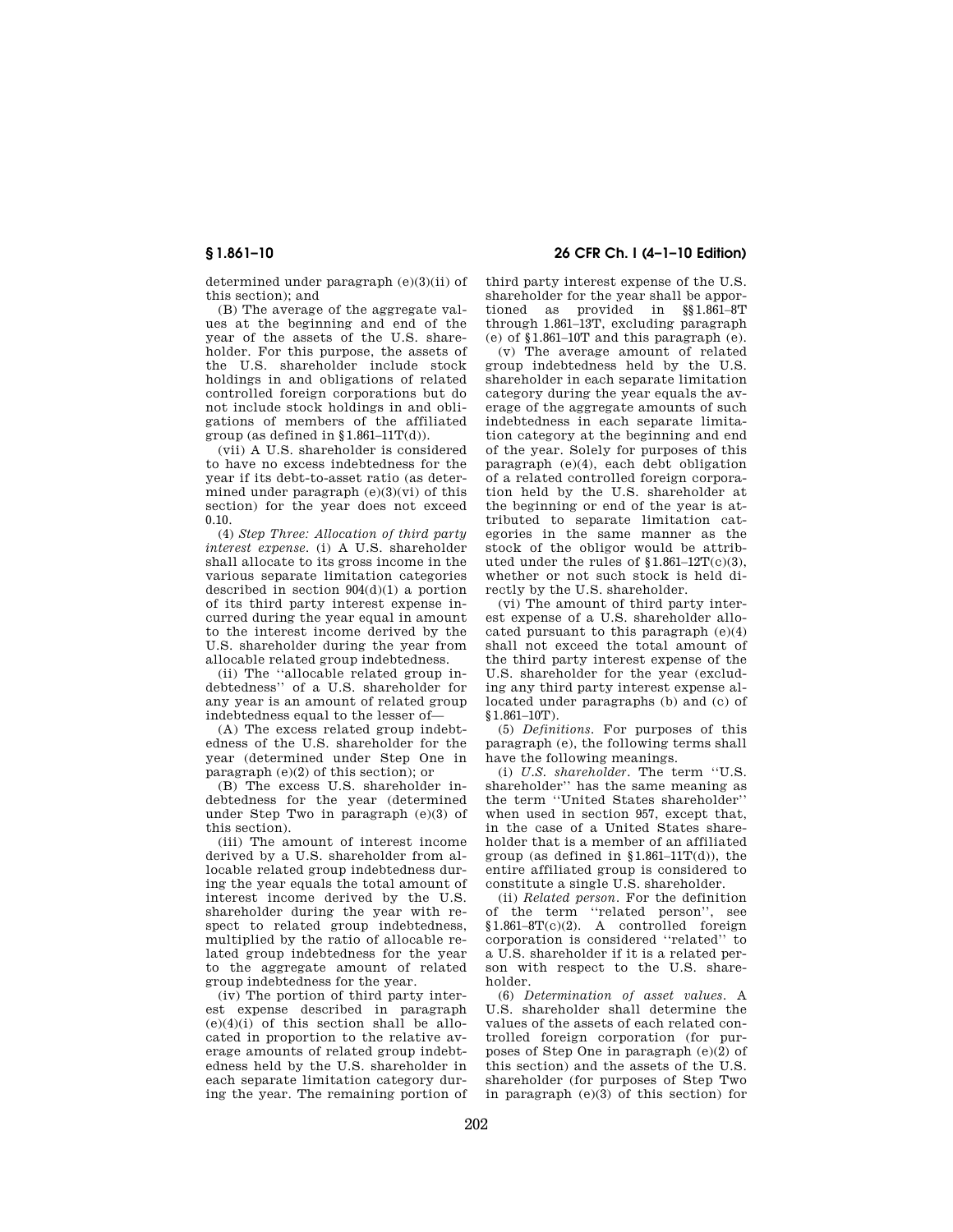determined under paragraph (e)(3)(ii) of this section); and

(B) The average of the aggregate values at the beginning and end of the year of the assets of the U.S. shareholder. For this purpose, the assets of the U.S. shareholder include stock holdings in and obligations of related controlled foreign corporations but do not include stock holdings in and obligations of members of the affiliated group (as defined in  $$1.861-11T(d)$ ).

(vii) A U.S. shareholder is considered to have no excess indebtedness for the year if its debt-to-asset ratio (as determined under paragraph  $(e)(3)(vi)$  of this section) for the year does not exceed 0.10.

(4) *Step Three: Allocation of third party interest expense.* (i) A U.S. shareholder shall allocate to its gross income in the various separate limitation categories described in section 904(d)(1) a portion of its third party interest expense incurred during the year equal in amount to the interest income derived by the U.S. shareholder during the year from allocable related group indebtedness.

(ii) The ''allocable related group indebtedness'' of a U.S. shareholder for any year is an amount of related group indebtedness equal to the lesser of—

(A) The excess related group indebtedness of the U.S. shareholder for the year (determined under Step One in paragraph (e)(2) of this section); or

(B) The excess U.S. shareholder indebtedness for the year (determined under Step Two in paragraph (e)(3) of this section).

(iii) The amount of interest income derived by a U.S. shareholder from allocable related group indebtedness during the year equals the total amount of interest income derived by the U.S. shareholder during the year with respect to related group indebtedness, multiplied by the ratio of allocable related group indebtedness for the year to the aggregate amount of related group indebtedness for the year.

(iv) The portion of third party interest expense described in paragraph  $(e)(4)(i)$  of this section shall be allocated in proportion to the relative average amounts of related group indebtedness held by the U.S. shareholder in each separate limitation category during the year. The remaining portion of

**§ 1.861–10 26 CFR Ch. I (4–1–10 Edition)** 

third party interest expense of the U.S. shareholder for the year shall be apportioned as provided in §§1.861–8T through 1.861–13T, excluding paragraph  $(e)$  of  $$1.861-10$ T and this paragraph  $(e)$ .

(v) The average amount of related group indebtedness held by the U.S. shareholder in each separate limitation category during the year equals the average of the aggregate amounts of such indebtedness in each separate limitation category at the beginning and end of the year. Solely for purposes of this paragraph (e)(4), each debt obligation of a related controlled foreign corporation held by the U.S. shareholder at the beginning or end of the year is attributed to separate limitation categories in the same manner as the stock of the obligor would be attributed under the rules of  $$1.861-12T(c)(3)$ , whether or not such stock is held directly by the U.S. shareholder.

(vi) The amount of third party interest expense of a U.S. shareholder allocated pursuant to this paragraph  $(e)(4)$ shall not exceed the total amount of the third party interest expense of the U.S. shareholder for the year (excluding any third party interest expense allocated under paragraphs (b) and (c) of §1.861–10T).

(5) *Definitions.* For purposes of this paragraph (e), the following terms shall have the following meanings.

(i) *U.S. shareholder.* The term ''U.S. shareholder'' has the same meaning as the term ''United States shareholder'' when used in section 957, except that, in the case of a United States shareholder that is a member of an affiliated group (as defined in  $$1.861-11T(d)$ ), the entire affiliated group is considered to constitute a single U.S. shareholder.

(ii) *Related person.* For the definition of the term ''related person'', see §1.861–8T(c)(2). A controlled foreign corporation is considered ''related'' to a U.S. shareholder if it is a related person with respect to the U.S. shareholder.

(6) *Determination of asset values.* A U.S. shareholder shall determine the values of the assets of each related controlled foreign corporation (for purposes of Step One in paragraph (e)(2) of this section) and the assets of the U.S. shareholder (for purposes of Step Two in paragraph  $(e)(3)$  of this section) for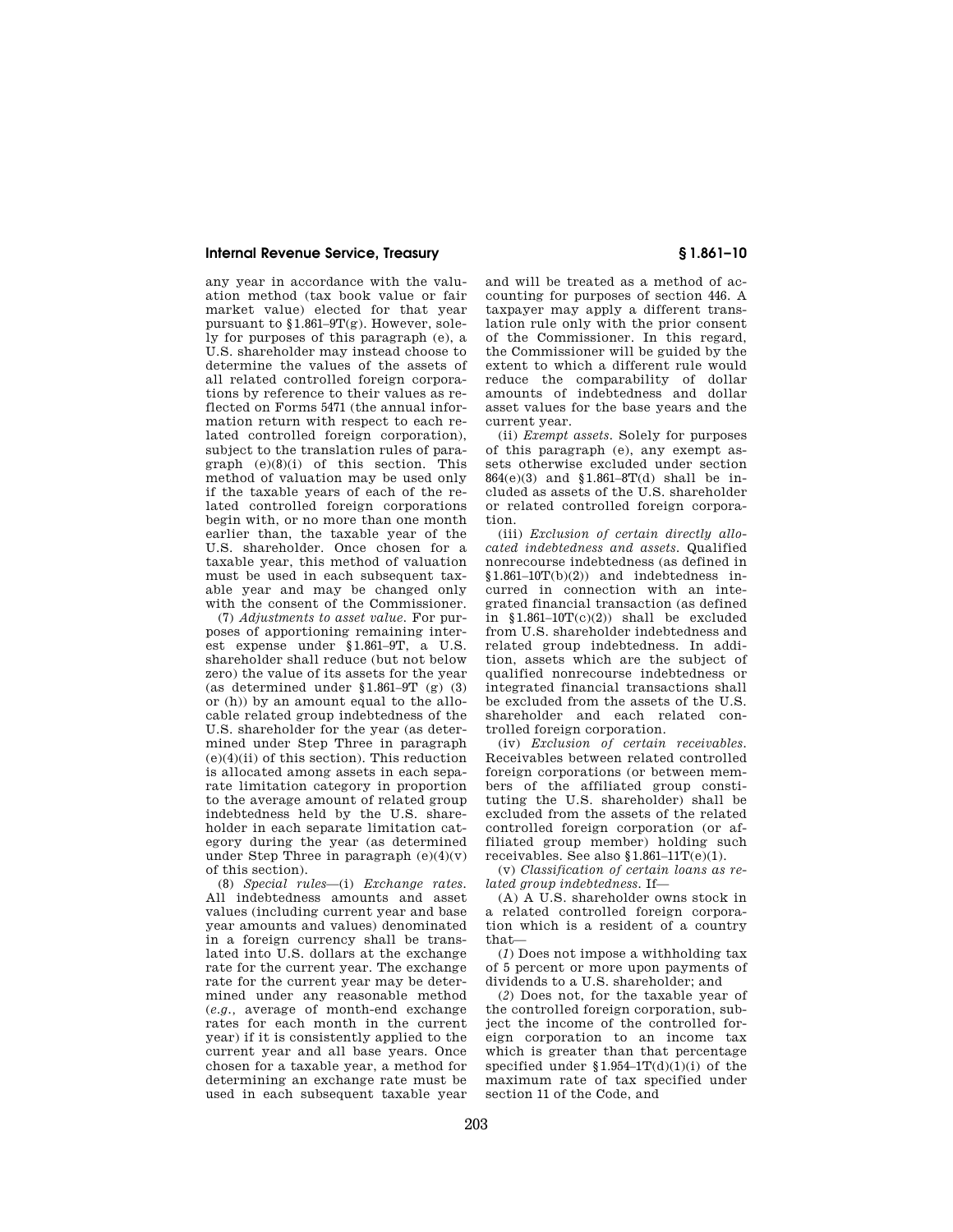any year in accordance with the valuation method (tax book value or fair market value) elected for that year pursuant to  $$1.861-9T(g)$ . However, solely for purposes of this paragraph (e), a U.S. shareholder may instead choose to determine the values of the assets of all related controlled foreign corporations by reference to their values as reflected on Forms 5471 (the annual information return with respect to each related controlled foreign corporation), subject to the translation rules of paragraph  $(e)(8)(i)$  of this section. This method of valuation may be used only if the taxable years of each of the related controlled foreign corporations begin with, or no more than one month earlier than, the taxable year of the U.S. shareholder. Once chosen for a taxable year, this method of valuation must be used in each subsequent taxable year and may be changed only with the consent of the Commissioner.

(7) *Adjustments to asset value.* For purposes of apportioning remaining interest expense under §1.861–9T, a U.S. shareholder shall reduce (but not below zero) the value of its assets for the year (as determined under §1.861–9T (g) (3) or (h)) by an amount equal to the allocable related group indebtedness of the U.S. shareholder for the year (as determined under Step Three in paragraph (e)(4)(ii) of this section). This reduction is allocated among assets in each separate limitation category in proportion to the average amount of related group indebtedness held by the U.S. shareholder in each separate limitation category during the year (as determined under Step Three in paragraph (e)(4)(v) of this section).

(8) *Special rules*—(i) *Exchange rates.*  All indebtedness amounts and asset values (including current year and base year amounts and values) denominated in a foreign currency shall be translated into U.S. dollars at the exchange rate for the current year. The exchange rate for the current year may be determined under any reasonable method (*e.g.,* average of month-end exchange rates for each month in the current year) if it is consistently applied to the current year and all base years. Once chosen for a taxable year, a method for determining an exchange rate must be used in each subsequent taxable year

and will be treated as a method of accounting for purposes of section 446. A taxpayer may apply a different translation rule only with the prior consent of the Commissioner. In this regard, the Commissioner will be guided by the extent to which a different rule would reduce the comparability of dollar amounts of indebtedness and dollar asset values for the base years and the current year.

(ii) *Exempt assets.* Solely for purposes of this paragraph (e), any exempt assets otherwise excluded under section 864(e)(3) and §1.861–8T(d) shall be included as assets of the U.S. shareholder or related controlled foreign corporation.

(iii) *Exclusion of certain directly allocated indebtedness and assets.* Qualified nonrecourse indebtedness (as defined in  $$1.861-10T(b)(2))$  and indebtedness incurred in connection with an integrated financial transaction (as defined in  $$1.861-10T(c)(2))$  shall be excluded from U.S. shareholder indebtedness and related group indebtedness. In addition, assets which are the subject of qualified nonrecourse indebtedness or integrated financial transactions shall be excluded from the assets of the U.S. shareholder and each related controlled foreign corporation.

(iv) *Exclusion of certain receivables.*  Receivables between related controlled foreign corporations (or between members of the affiliated group constituting the U.S. shareholder) shall be excluded from the assets of the related controlled foreign corporation (or affiliated group member) holding such receivables. See also  $$1.861-11T(e)(1)$ .

(v) *Classification of certain loans as related group indebtedness.* If—

(A) A U.S. shareholder owns stock in a related controlled foreign corporation which is a resident of a country that—

(*1*) Does not impose a withholding tax of 5 percent or more upon payments of dividends to a U.S. shareholder; and

(*2*) Does not, for the taxable year of the controlled foreign corporation, subject the income of the controlled foreign corporation to an income tax which is greater than that percentage specified under  $$1.954-1T(d)(1)(i)$  of the maximum rate of tax specified under section 11 of the Code, and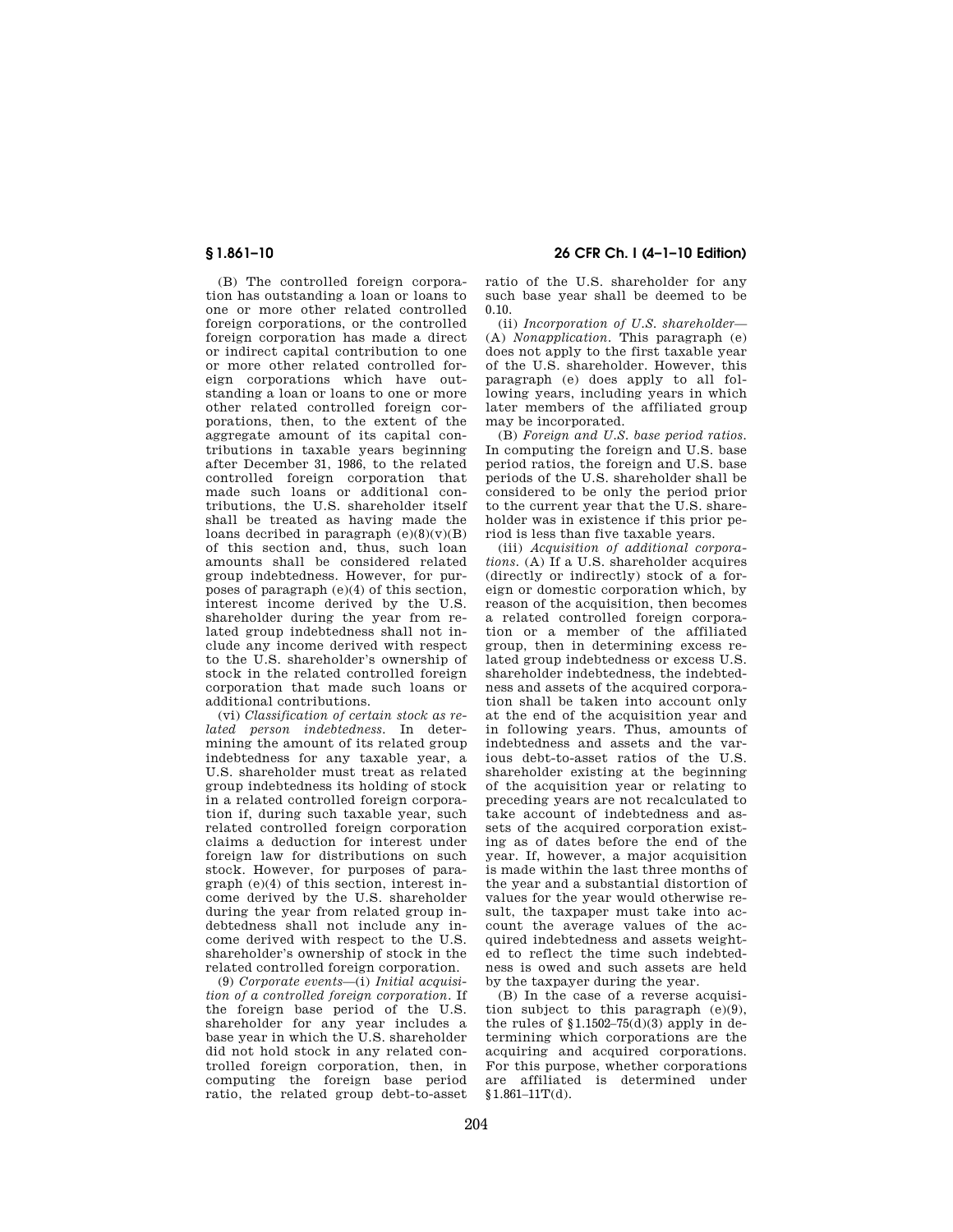(B) The controlled foreign corporation has outstanding a loan or loans to one or more other related controlled foreign corporations, or the controlled foreign corporation has made a direct or indirect capital contribution to one or more other related controlled foreign corporations which have outstanding a loan or loans to one or more other related controlled foreign corporations, then, to the extent of the aggregate amount of its capital contributions in taxable years beginning after December 31, 1986, to the related controlled foreign corporation that made such loans or additional contributions, the U.S. shareholder itself shall be treated as having made the loans decribed in paragraph  $(e)(8)(v)(B)$ of this section and, thus, such loan amounts shall be considered related group indebtedness. However, for purposes of paragraph (e)(4) of this section, interest income derived by the U.S. shareholder during the year from related group indebtedness shall not include any income derived with respect to the U.S. shareholder's ownership of stock in the related controlled foreign corporation that made such loans or additional contributions.

(vi) *Classification of certain stock as related person indebtedness.* In determining the amount of its related group indebtedness for any taxable year, a U.S. shareholder must treat as related group indebtedness its holding of stock in a related controlled foreign corporation if, during such taxable year, such related controlled foreign corporation claims a deduction for interest under foreign law for distributions on such stock. However, for purposes of paragraph (e)(4) of this section, interest income derived by the U.S. shareholder during the year from related group indebtedness shall not include any income derived with respect to the U.S. shareholder's ownership of stock in the related controlled foreign corporation.

(9) *Corporate events*—(i) *Initial acquisition of a controlled foreign corporation.* If the foreign base period of the U.S. shareholder for any year includes a base year in which the U.S. shareholder did not hold stock in any related controlled foreign corporation, then, in computing the foreign base period ratio, the related group debt-to-asset

# **§ 1.861–10 26 CFR Ch. I (4–1–10 Edition)**

ratio of the U.S. shareholder for any such base year shall be deemed to be 0.10.

(ii) *Incorporation of U.S. shareholder*— (A) *Nonapplication.* This paragraph (e) does not apply to the first taxable year of the U.S. shareholder. However, this paragraph (e) does apply to all following years, including years in which later members of the affiliated group may be incorporated.

(B) *Foreign and U.S. base period ratios.*  In computing the foreign and U.S. base period ratios, the foreign and U.S. base periods of the U.S. shareholder shall be considered to be only the period prior to the current year that the U.S. shareholder was in existence if this prior period is less than five taxable years.

(iii) *Acquisition of additional corporations.* (A) If a U.S. shareholder acquires (directly or indirectly) stock of a foreign or domestic corporation which, by reason of the acquisition, then becomes a related controlled foreign corporation or a member of the affiliated group, then in determining excess related group indebtedness or excess U.S. shareholder indebtedness, the indebtedness and assets of the acquired corporation shall be taken into account only at the end of the acquisition year and in following years. Thus, amounts of indebtedness and assets and the various debt-to-asset ratios of the U.S. shareholder existing at the beginning of the acquisition year or relating to preceding years are not recalculated to take account of indebtedness and assets of the acquired corporation existing as of dates before the end of the year. If, however, a major acquisition is made within the last three months of the year and a substantial distortion of values for the year would otherwise result, the taxpaper must take into account the average values of the acquired indebtedness and assets weighted to reflect the time such indebtedness is owed and such assets are held by the taxpayer during the year.

(B) In the case of a reverse acquisition subject to this paragraph (e)(9), the rules of  $$1.1502-75(d)(3)$  apply in determining which corporations are the acquiring and acquired corporations. For this purpose, whether corporations are affiliated is determined under  $$1.861-11T(d).$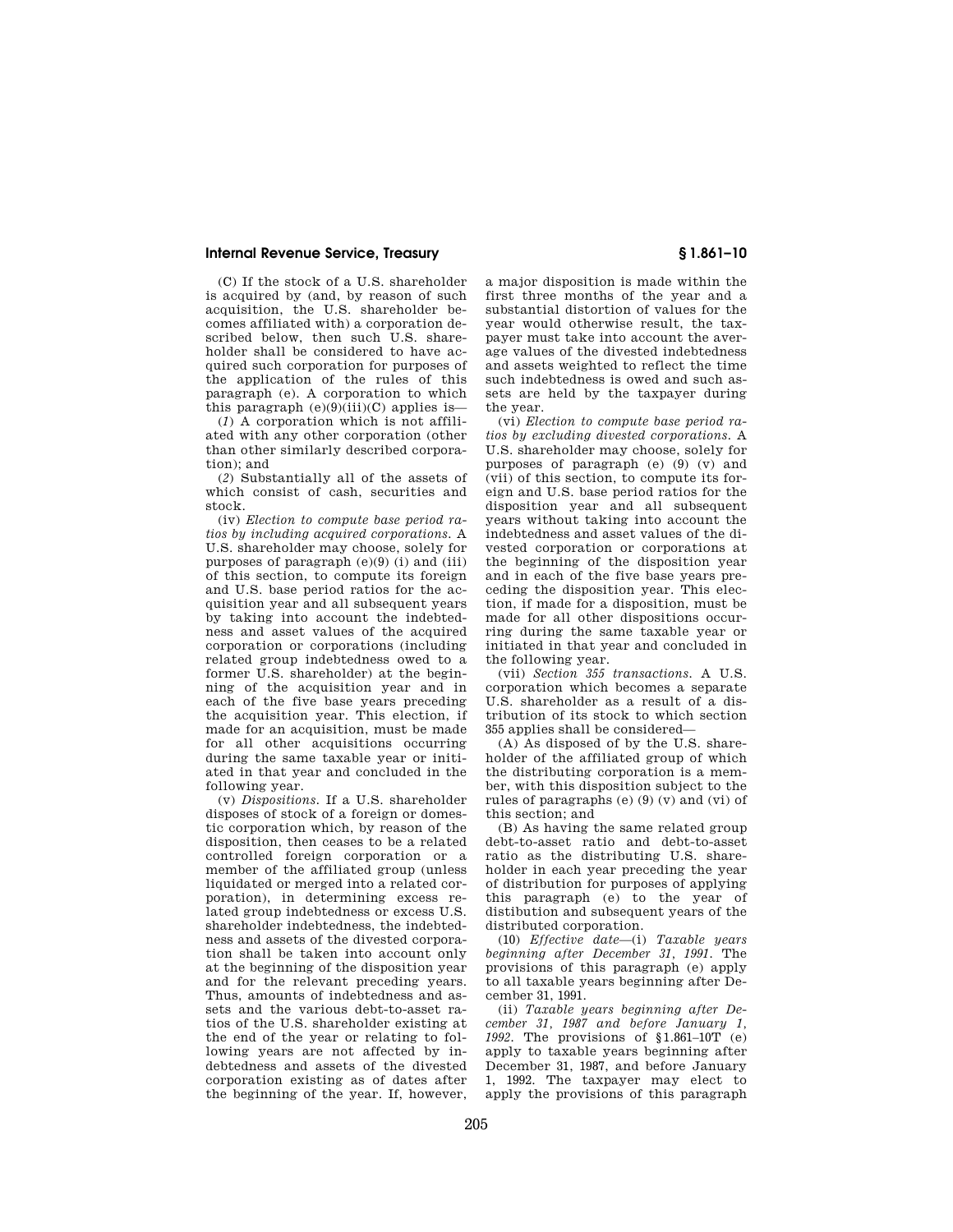(C) If the stock of a U.S. shareholder is acquired by (and, by reason of such acquisition, the U.S. shareholder becomes affiliated with) a corporation described below, then such U.S. shareholder shall be considered to have acquired such corporation for purposes of the application of the rules of this paragraph (e). A corporation to which this paragraph  $(e)(9)(iii)(C)$  applies is—

(*1*) A corporation which is not affiliated with any other corporation (other than other similarly described corporation); and

(*2*) Substantially all of the assets of which consist of cash, securities and stock.

(iv) *Election to compute base period ratios by including acquired corporations.* A U.S. shareholder may choose, solely for purposes of paragraph (e)(9) (i) and (iii) of this section, to compute its foreign and U.S. base period ratios for the acquisition year and all subsequent years by taking into account the indebtedness and asset values of the acquired corporation or corporations (including related group indebtedness owed to a former U.S. shareholder) at the beginning of the acquisition year and in each of the five base years preceding the acquisition year. This election, if made for an acquisition, must be made for all other acquisitions occurring during the same taxable year or initiated in that year and concluded in the following year.

(v) *Dispositions.* If a U.S. shareholder disposes of stock of a foreign or domestic corporation which, by reason of the disposition, then ceases to be a related controlled foreign corporation or a member of the affiliated group (unless liquidated or merged into a related corporation), in determining excess related group indebtedness or excess U.S. shareholder indebtedness, the indebtedness and assets of the divested corporation shall be taken into account only at the beginning of the disposition year and for the relevant preceding years. Thus, amounts of indebtedness and assets and the various debt-to-asset ratios of the U.S. shareholder existing at the end of the year or relating to following years are not affected by indebtedness and assets of the divested corporation existing as of dates after the beginning of the year. If, however,

a major disposition is made within the first three months of the year and a substantial distortion of values for the year would otherwise result, the taxpayer must take into account the average values of the divested indebtedness and assets weighted to reflect the time such indebtedness is owed and such assets are held by the taxpayer during the year.

(vi) *Election to compute base period ratios by excluding divested corporations.* A U.S. shareholder may choose, solely for purposes of paragraph (e) (9) (v) and (vii) of this section, to compute its foreign and U.S. base period ratios for the disposition year and all subsequent years without taking into account the indebtedness and asset values of the divested corporation or corporations at the beginning of the disposition year and in each of the five base years preceding the disposition year. This election, if made for a disposition, must be made for all other dispositions occurring during the same taxable year or initiated in that year and concluded in the following year.

(vii) *Section 355 transactions.* A U.S. corporation which becomes a separate U.S. shareholder as a result of a distribution of its stock to which section 355 applies shall be considered—

(A) As disposed of by the U.S. shareholder of the affiliated group of which the distributing corporation is a member, with this disposition subject to the rules of paragraphs (e) (9) (v) and (vi) of this section; and

(B) As having the same related group debt-to-asset ratio and debt-to-asset ratio as the distributing U.S. shareholder in each year preceding the year of distribution for purposes of applying this paragraph (e) to the year of distibution and subsequent years of the distributed corporation.

(10) *Effective date*—(i) *Taxable years beginning after December 31, 1991.* The provisions of this paragraph (e) apply to all taxable years beginning after December 31, 1991.

(ii) *Taxable years beginning after December 31, 1987 and before January 1, 1992.* The provisions of §1.861–10T (e) apply to taxable years beginning after December 31, 1987, and before January 1, 1992. The taxpayer may elect to apply the provisions of this paragraph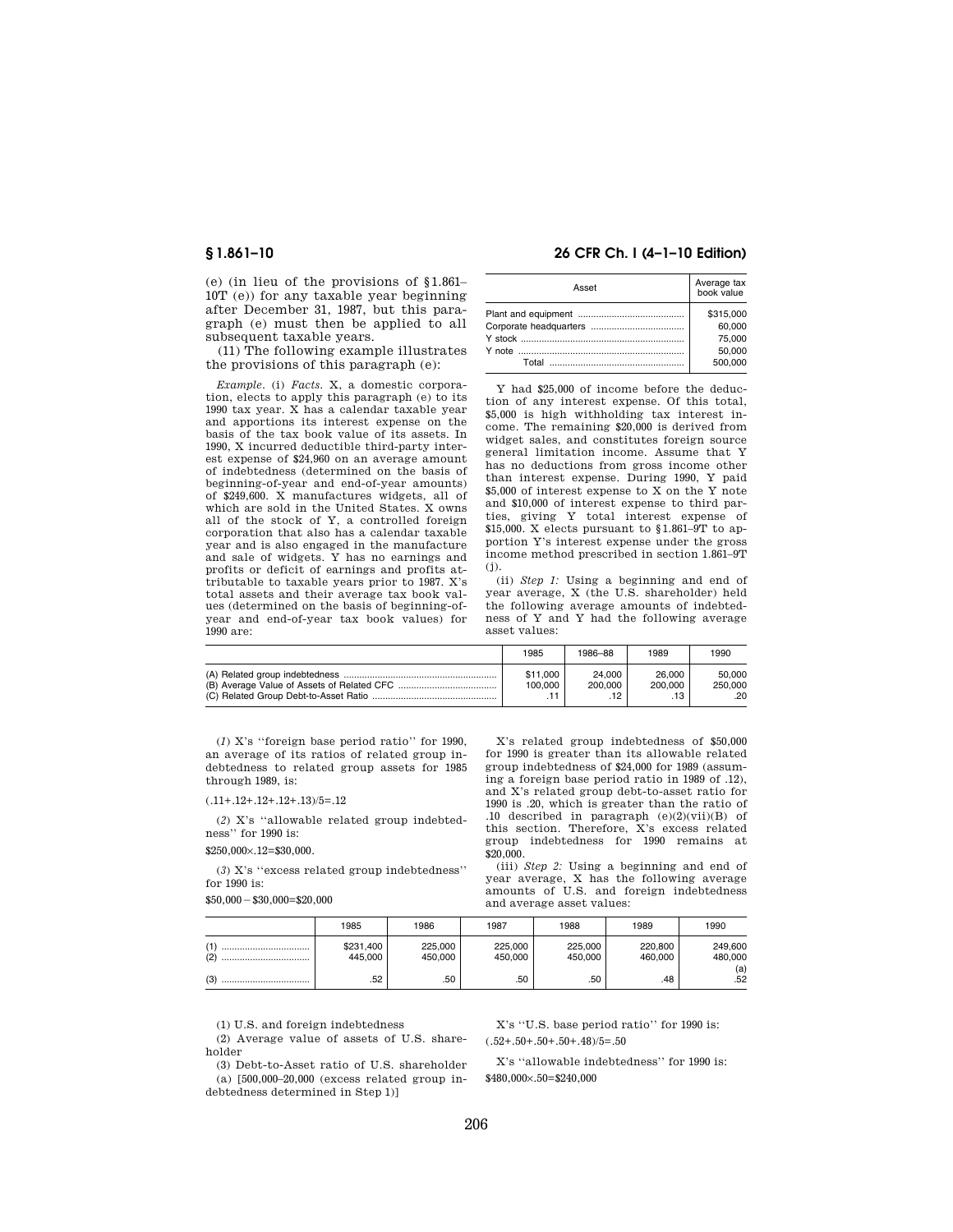(e) (in lieu of the provisions of §1.861– 10T (e)) for any taxable year beginning after December 31, 1987, but this paragraph (e) must then be applied to all subsequent taxable years.

(11) The following example illustrates the provisions of this paragraph (e):

*Example.* (i) *Facts.* X, a domestic corporation, elects to apply this paragraph (e) to its 1990 tax year. X has a calendar taxable year and apportions its interest expense on the basis of the tax book value of its assets. In 1990, X incurred deductible third-party interest expense of \$24,960 on an average amount of indebtedness (determined on the basis of beginning-of-year and end-of-year amounts) of \$249,600. X manufactures widgets, all of which are sold in the United States. X owns all of the stock of Y, a controlled foreign corporation that also has a calendar taxable year and is also engaged in the manufacture and sale of widgets. Y has no earnings and profits or deficit of earnings and profits attributable to taxable years prior to 1987. X's total assets and their average tax book values (determined on the basis of beginning-ofyear and end-of-year tax book values) for 1990 are:

## **§ 1.861–10 26 CFR Ch. I (4–1–10 Edition)**

| Asset | Average tax<br>book value |  |  |
|-------|---------------------------|--|--|
|       | \$315,000                 |  |  |
|       | 60.000                    |  |  |
|       | 75,000                    |  |  |
|       | 50.000                    |  |  |
|       | 500,000                   |  |  |
|       |                           |  |  |

Y had \$25,000 of income before the deduction of any interest expense. Of this total, \$5,000 is high withholding tax interest income. The remaining \$20,000 is derived from widget sales, and constitutes foreign source general limitation income. Assume that Y has no deductions from gross income other than interest expense. During 1990, Y paid \$5,000 of interest expense to X on the Y note and \$10,000 of interest expense to third parties, giving Y total interest expense of \$15,000. X elects pursuant to §1.861–9T to apportion Y's interest expense under the gross income method prescribed in section 1.861–9T (j).

(ii) *Step 1:* Using a beginning and end of year average, X (the U.S. shareholder) held the following average amounts of indebtedness of Y and Y had the following average asset values:

| 1985                | 1986-88                  | 1989              | 1990                     |
|---------------------|--------------------------|-------------------|--------------------------|
| \$11,000<br>100.000 | 24.000<br>200.000<br>.12 | 26.000<br>200.000 | 50.000<br>250,000<br>.20 |

(*1*) X's ''foreign base period ratio'' for 1990, an average of its ratios of related group indebtedness to related group assets for 1985 through 1989, is:

(.11+.12+.12+.12+.13)/5=.12

(*2*) X's ''allowable related group indebtedness'' for 1990 is:

\$250,000×.12=\$30,000.

(*3*) X's ''excess related group indebtedness'' for 1990 is:

 $$50,000 - $30,000 = $20,000$ 

X's related group indebtedness of \$50,000 for 1990 is greater than its allowable related group indebtedness of \$24,000 for 1989 (assuming a foreign base period ratio in 1989 of .12), and X's related group debt-to-asset ratio for 1990 is .20, which is greater than the ratio of .10 described in paragraph (e)(2)(vii)(B) of this section. Therefore, X's excess related group indebtedness for 1990 remains at \$20,000.

(iii) *Step 2:* Using a beginning and end of year average, X has the following average amounts of U.S. and foreign indebtedness and average asset values:

|            | 1985                 | 1986               | 1987               | 1988               | 1989               | 1990               |
|------------|----------------------|--------------------|--------------------|--------------------|--------------------|--------------------|
| (1)<br>(2) | \$231,400<br>445,000 | 225.000<br>450.000 | 225,000<br>450.000 | 225,000<br>450.000 | 220.800<br>460.000 | 249.600<br>480,000 |
| (3)<br>    | .52                  | .50                | .50                | .50                | .48                | (a)<br>.52         |

(1) U.S. and foreign indebtedness

(2) Average value of assets of U.S. shareholder

(3) Debt-to-Asset ratio of U.S. shareholder (a) [500,000–20,000 (excess related group indebtedness determined in Step 1)]

X's ''U.S. base period ratio'' for 1990 is:  $(.52+.50+.50+.50+.48$ )/5=.50

X's ''allowable indebtedness'' for 1990 is: \$480,000×.50=\$240,000